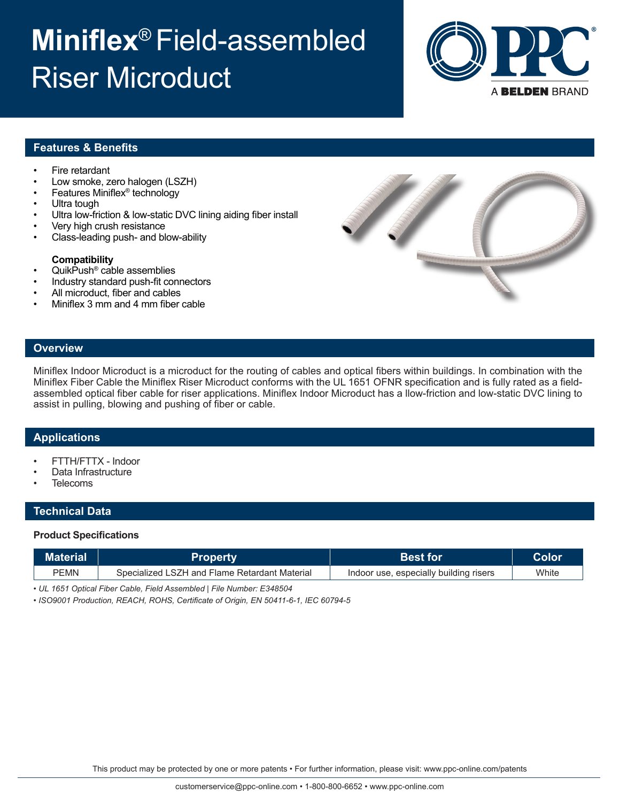# **Miniflex**® Field-assembled Riser Microduct



# **Features & Benefits**

- Fire retardant
- Low smoke, zero halogen (LSZH)
- Features Miniflex® technology
- Ultra tough
- Ultra low-friction & low-static DVC lining aiding fiber install
- Very high crush resistance
- Class-leading push- and blow-ability

### **Compatibility**

- QuikPush® cable assemblies
- Industry standard push-fit connectors
- All microduct, fiber and cables
- Miniflex 3 mm and 4 mm fiber cable



### **Overview**

Miniflex Indoor Microduct is a microduct for the routing of cables and optical fibers within buildings. In combination with the Miniflex Fiber Cable the Miniflex Riser Microduct conforms with the UL 1651 OFNR specification and is fully rated as a fieldassembled optical fiber cable for riser applications. Miniflex Indoor Microduct has a llow-friction and low-static DVC lining to assist in pulling, blowing and pushing of fiber or cable.

## **Applications**

- FTTH/FTTX Indoor
- Data Infrastructure
- **Telecoms**

## **Technical Data**

#### **Product Specifications**

| Material」   | <b>Property</b>                               | <b>Best for</b>                        | Color |
|-------------|-----------------------------------------------|----------------------------------------|-------|
| <b>PEMN</b> | Specialized LSZH and Flame Retardant Material | Indoor use, especially building risers | White |

*• UL 1651 Optical Fiber Cable, Field Assembled | File Number: E348504*

*• ISO9001 Production, REACH, ROHS, Certificate of Origin, EN 50411-6-1, IEC 60794-5*

This product may be protected by one or more patents • For further information, please visit: www.ppc-online.com/patents